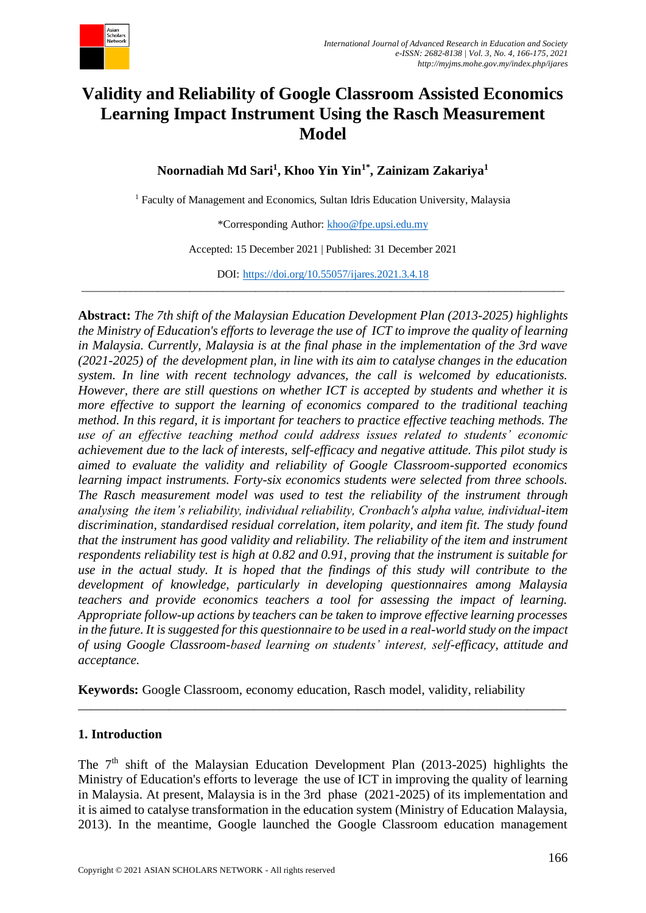

# **Validity and Reliability of Google Classroom Assisted Economics Learning Impact Instrument Using the Rasch Measurement Model**

**Noornadiah Md Sari<sup>1</sup> , Khoo Yin Yin1\* , Zainizam Zakariya<sup>1</sup>**

<sup>1</sup> Faculty of Management and Economics, Sultan Idris Education University, Malaysia

\*Corresponding Author: [khoo@fpe.upsi.edu.my](mailto:khoo@fpe.upsi.edu.my)

Accepted: 15 December 2021 | Published: 31 December 2021

DOI: <https://doi.org/10.55057/ijares.2021.3.4.18> \_\_\_\_\_\_\_\_\_\_\_\_\_\_\_\_\_\_\_\_\_\_\_\_\_\_\_\_\_\_\_\_\_\_\_\_\_\_\_\_\_\_\_\_\_\_\_\_\_\_\_\_\_\_\_\_\_\_\_\_\_\_\_\_\_\_\_\_\_\_\_\_\_\_\_\_\_\_\_\_\_\_\_\_\_\_\_\_\_

**Abstract:** *The 7th shift of the Malaysian Education Development Plan (2013-2025) highlights the Ministry of Education's efforts to leverage the use of ICT to improve the quality of learning in Malaysia. Currently, Malaysia is at the final phase in the implementation of the 3rd wave (2021-2025) of the development plan, in line with its aim to catalyse changes in the education system. In line with recent technology advances, the call is welcomed by educationists. However, there are still questions on whether ICT is accepted by students and whether it is more effective to support the learning of economics compared to the traditional teaching method. In this regard, it is important for teachers to practice effective teaching methods. The use of an effective teaching method could address issues related to students' economic achievement due to the lack of interests, self-efficacy and negative attitude. This pilot study is aimed to evaluate the validity and reliability of Google Classroom-supported economics learning impact instruments. Forty-six economics students were selected from three schools. The Rasch measurement model was used to test the reliability of the instrument through analysing the item's reliability, individual reliability, Cronbach's alpha value, individual-item discrimination, standardised residual correlation, item polarity, and item fit. The study found that the instrument has good validity and reliability. The reliability of the item and instrument respondents reliability test is high at 0.82 and 0.91, proving that the instrument is suitable for use in the actual study. It is hoped that the findings of this study will contribute to the development of knowledge, particularly in developing questionnaires among Malaysia teachers and provide economics teachers a tool for assessing the impact of learning. Appropriate follow-up actions by teachers can be taken to improve effective learning processes in the future. It is suggested for this questionnaire to be used in a real-world study on the impact of using Google Classroom-based learning on students' interest, self-efficacy, attitude and acceptance.*

**Keywords:** Google Classroom, economy education, Rasch model, validity, reliability

### **1. Introduction**

The  $7<sup>th</sup>$  shift of the Malaysian Education Development Plan (2013-2025) highlights the Ministry of Education's efforts to leverage the use of ICT in improving the quality of learning in Malaysia. At present, Malaysia is in the 3rd phase (2021-2025) of its implementation and it is aimed to catalyse transformation in the education system (Ministry of Education Malaysia, 2013). In the meantime, Google launched the Google Classroom education management

\_\_\_\_\_\_\_\_\_\_\_\_\_\_\_\_\_\_\_\_\_\_\_\_\_\_\_\_\_\_\_\_\_\_\_\_\_\_\_\_\_\_\_\_\_\_\_\_\_\_\_\_\_\_\_\_\_\_\_\_\_\_\_\_\_\_\_\_\_\_\_\_\_\_\_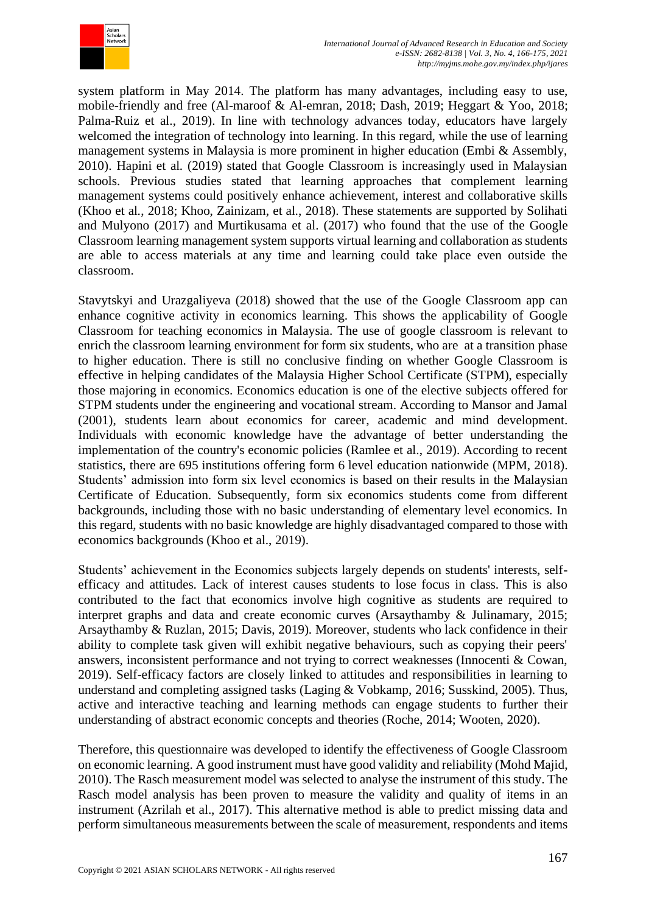

system platform in May 2014. The platform has many advantages, including easy to use, mobile-friendly and free (Al-maroof & Al-emran, 2018; Dash, 2019; Heggart & Yoo, 2018; Palma-Ruiz et al., 2019). In line with technology advances today, educators have largely welcomed the integration of technology into learning. In this regard, while the use of learning management systems in Malaysia is more prominent in higher education (Embi & Assembly, 2010). Hapini et al. (2019) stated that Google Classroom is increasingly used in Malaysian schools. Previous studies stated that learning approaches that complement learning management systems could positively enhance achievement, interest and collaborative skills (Khoo et al., 2018; Khoo, Zainizam, et al., 2018). These statements are supported by Solihati and Mulyono (2017) and Murtikusama et al. (2017) who found that the use of the Google Classroom learning management system supports virtual learning and collaboration as students are able to access materials at any time and learning could take place even outside the classroom.

Stavytskyi and Urazgaliyeva (2018) showed that the use of the Google Classroom app can enhance cognitive activity in economics learning. This shows the applicability of Google Classroom for teaching economics in Malaysia. The use of google classroom is relevant to enrich the classroom learning environment for form six students, who are at a transition phase to higher education. There is still no conclusive finding on whether Google Classroom is effective in helping candidates of the Malaysia Higher School Certificate (STPM), especially those majoring in economics. Economics education is one of the elective subjects offered for STPM students under the engineering and vocational stream. According to Mansor and Jamal (2001), students learn about economics for career, academic and mind development. Individuals with economic knowledge have the advantage of better understanding the implementation of the country's economic policies (Ramlee et al., 2019). According to recent statistics, there are 695 institutions offering form 6 level education nationwide (MPM, 2018). Students' admission into form six level economics is based on their results in the Malaysian Certificate of Education. Subsequently, form six economics students come from different backgrounds, including those with no basic understanding of elementary level economics. In this regard, students with no basic knowledge are highly disadvantaged compared to those with economics backgrounds (Khoo et al., 2019).

Students' achievement in the Economics subjects largely depends on students' interests, selfefficacy and attitudes. Lack of interest causes students to lose focus in class. This is also contributed to the fact that economics involve high cognitive as students are required to interpret graphs and data and create economic curves (Arsaythamby & Julinamary, 2015; Arsaythamby & Ruzlan, 2015; Davis, 2019). Moreover, students who lack confidence in their ability to complete task given will exhibit negative behaviours, such as copying their peers' answers, inconsistent performance and not trying to correct weaknesses (Innocenti & Cowan, 2019). Self-efficacy factors are closely linked to attitudes and responsibilities in learning to understand and completing assigned tasks (Laging & Vobkamp, 2016; Susskind, 2005). Thus, active and interactive teaching and learning methods can engage students to further their understanding of abstract economic concepts and theories (Roche, 2014; Wooten, 2020).

Therefore, this questionnaire was developed to identify the effectiveness of Google Classroom on economic learning. A good instrument must have good validity and reliability (Mohd Majid, 2010). The Rasch measurement model was selected to analyse the instrument of this study. The Rasch model analysis has been proven to measure the validity and quality of items in an instrument (Azrilah et al., 2017). This alternative method is able to predict missing data and perform simultaneous measurements between the scale of measurement, respondents and items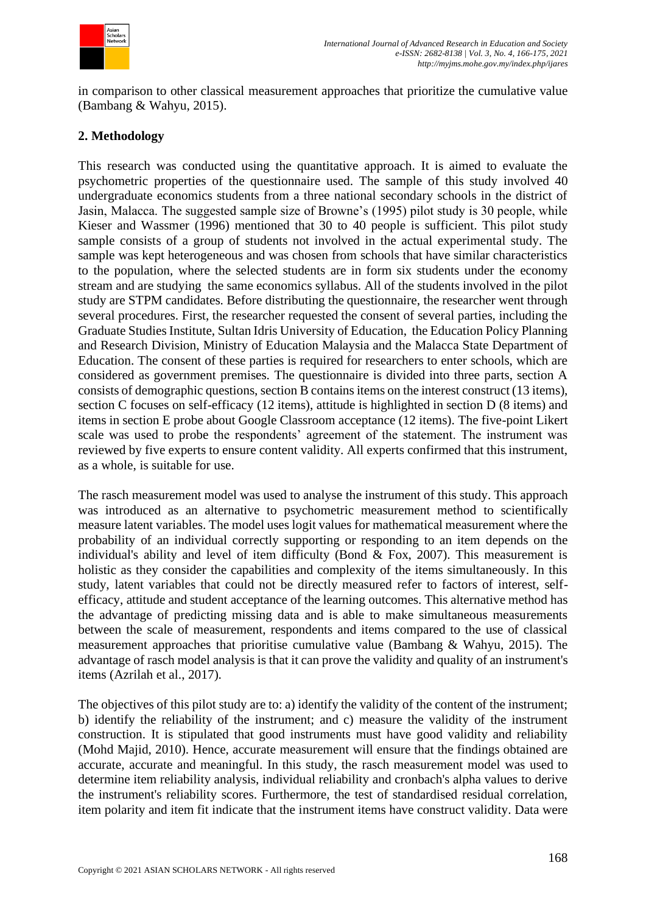

in comparison to other classical measurement approaches that prioritize the cumulative value (Bambang & Wahyu, 2015).

## **2. Methodology**

This research was conducted using the quantitative approach. It is aimed to evaluate the psychometric properties of the questionnaire used. The sample of this study involved 40 undergraduate economics students from a three national secondary schools in the district of Jasin, Malacca. The suggested sample size of Browne's (1995) pilot study is 30 people, while Kieser and Wassmer (1996) mentioned that 30 to 40 people is sufficient. This pilot study sample consists of a group of students not involved in the actual experimental study. The sample was kept heterogeneous and was chosen from schools that have similar characteristics to the population, where the selected students are in form six students under the economy stream and are studying the same economics syllabus. All of the students involved in the pilot study are STPM candidates. Before distributing the questionnaire, the researcher went through several procedures. First, the researcher requested the consent of several parties, including the Graduate Studies Institute, Sultan Idris University of Education, the Education Policy Planning and Research Division, Ministry of Education Malaysia and the Malacca State Department of Education. The consent of these parties is required for researchers to enter schools, which are considered as government premises. The questionnaire is divided into three parts, section A consists of demographic questions, section B contains items on the interest construct (13 items), section C focuses on self-efficacy (12 items), attitude is highlighted in section D (8 items) and items in section E probe about Google Classroom acceptance (12 items). The five-point Likert scale was used to probe the respondents' agreement of the statement. The instrument was reviewed by five experts to ensure content validity. All experts confirmed that this instrument, as a whole, is suitable for use.

The rasch measurement model was used to analyse the instrument of this study. This approach was introduced as an alternative to psychometric measurement method to scientifically measure latent variables. The model uses logit values for mathematical measurement where the probability of an individual correctly supporting or responding to an item depends on the individual's ability and level of item difficulty (Bond  $& Fox, 2007$ ). This measurement is holistic as they consider the capabilities and complexity of the items simultaneously. In this study, latent variables that could not be directly measured refer to factors of interest, selfefficacy, attitude and student acceptance of the learning outcomes. This alternative method has the advantage of predicting missing data and is able to make simultaneous measurements between the scale of measurement, respondents and items compared to the use of classical measurement approaches that prioritise cumulative value (Bambang & Wahyu, 2015). The advantage of rasch model analysis is that it can prove the validity and quality of an instrument's items (Azrilah et al., 2017).

The objectives of this pilot study are to: a) identify the validity of the content of the instrument; b) identify the reliability of the instrument; and c) measure the validity of the instrument construction. It is stipulated that good instruments must have good validity and reliability (Mohd Majid, 2010). Hence, accurate measurement will ensure that the findings obtained are accurate, accurate and meaningful. In this study, the rasch measurement model was used to determine item reliability analysis, individual reliability and cronbach's alpha values to derive the instrument's reliability scores. Furthermore, the test of standardised residual correlation, item polarity and item fit indicate that the instrument items have construct validity. Data were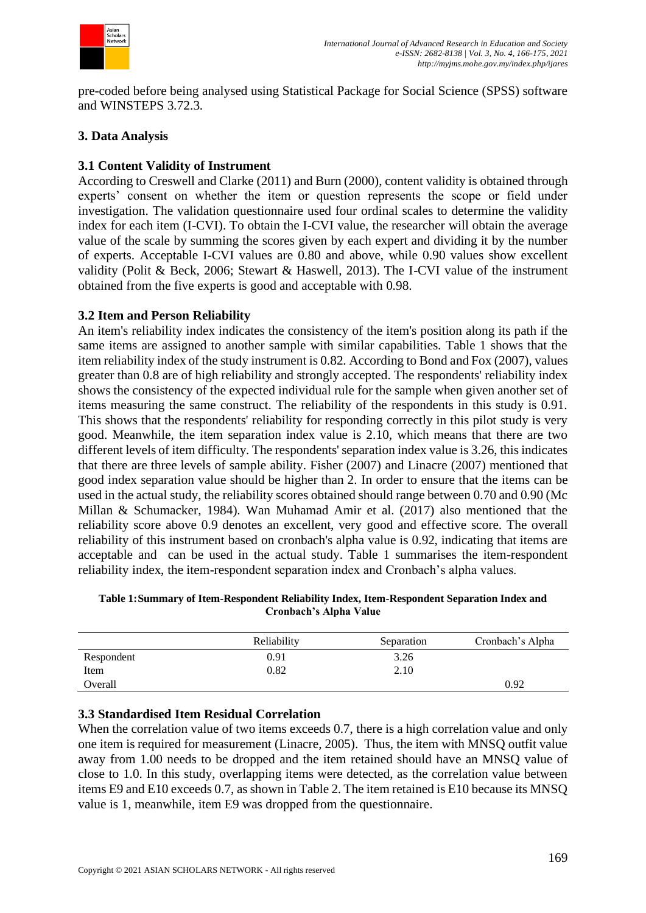

pre-coded before being analysed using Statistical Package for Social Science (SPSS) software and WINSTEPS 3.72.3.

## **3. Data Analysis**

## **3.1 Content Validity of Instrument**

According to Creswell and Clarke (2011) and Burn (2000), content validity is obtained through experts' consent on whether the item or question represents the scope or field under investigation. The validation questionnaire used four ordinal scales to determine the validity index for each item (I-CVI). To obtain the I-CVI value, the researcher will obtain the average value of the scale by summing the scores given by each expert and dividing it by the number of experts. Acceptable I-CVI values are 0.80 and above, while 0.90 values show excellent validity (Polit & Beck, 2006; Stewart & Haswell, 2013). The I-CVI value of the instrument obtained from the five experts is good and acceptable with 0.98.

## **3.2 Item and Person Reliability**

An item's reliability index indicates the consistency of the item's position along its path if the same items are assigned to another sample with similar capabilities. Table 1 shows that the item reliability index of the study instrument is 0.82. According to Bond and Fox (2007), values greater than 0.8 are of high reliability and strongly accepted. The respondents' reliability index shows the consistency of the expected individual rule for the sample when given another set of items measuring the same construct. The reliability of the respondents in this study is 0.91. This shows that the respondents' reliability for responding correctly in this pilot study is very good. Meanwhile, the item separation index value is 2.10, which means that there are two different levels of item difficulty. The respondents' separation index value is 3.26, this indicates that there are three levels of sample ability. Fisher (2007) and Linacre (2007) mentioned that good index separation value should be higher than 2. In order to ensure that the items can be used in the actual study, the reliability scores obtained should range between 0.70 and 0.90 (Mc Millan & Schumacker, 1984). Wan Muhamad Amir et al. (2017) also mentioned that the reliability score above 0.9 denotes an excellent, very good and effective score. The overall reliability of this instrument based on cronbach's alpha value is 0.92, indicating that items are acceptable and can be used in the actual study. Table 1 summarises the item-respondent reliability index, the item-respondent separation index and Cronbach's alpha values.

**Table 1:Summary of Item-Respondent Reliability Index, Item-Respondent Separation Index and Cronbach's Alpha Value**

|            | Reliability | Separation | Cronbach's Alpha |
|------------|-------------|------------|------------------|
| Respondent | 0.91        | 3.26       |                  |
| Item       | 0.82        | 2.10       |                  |
| Overall    |             |            | 0.92             |

### **3.3 Standardised Item Residual Correlation**

When the correlation value of two items exceeds 0.7, there is a high correlation value and only one item is required for measurement (Linacre, 2005). Thus, the item with MNSQ outfit value away from 1.00 needs to be dropped and the item retained should have an MNSQ value of close to 1.0. In this study, overlapping items were detected, as the correlation value between items E9 and E10 exceeds 0.7, as shown in Table 2. The item retained is E10 because its MNSQ value is 1, meanwhile, item E9 was dropped from the questionnaire.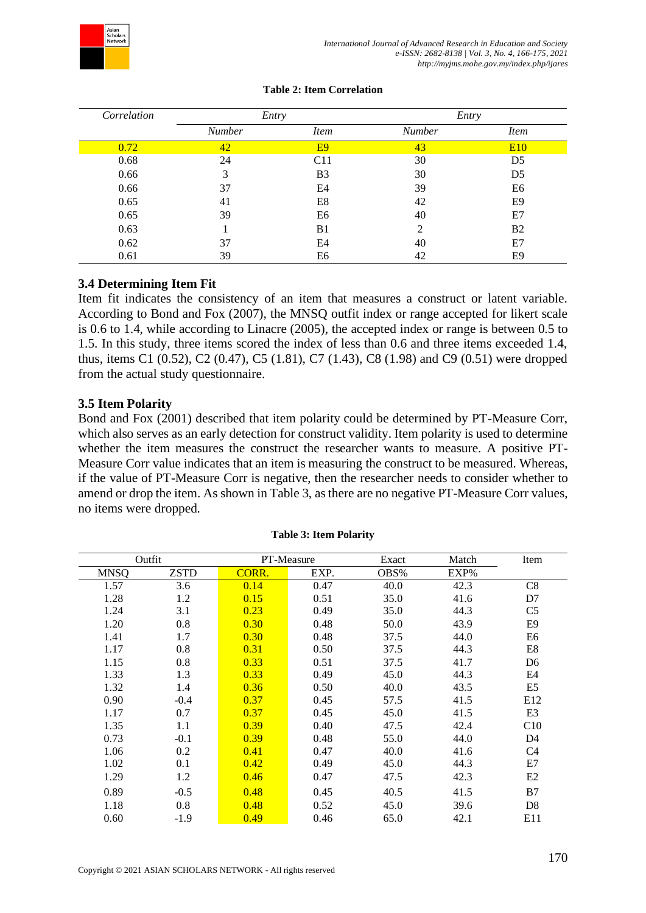

| Correlation | Entry         |                 | Entry         |                |
|-------------|---------------|-----------------|---------------|----------------|
|             | <b>Number</b> | <i>Item</i>     | <b>Number</b> | <i>Item</i>    |
| 0.72        | 42            | E9              | 43            | <b>E10</b>     |
| 0.68        | 24            | C <sub>11</sub> | 30            | D <sub>5</sub> |
| 0.66        | 3             | B3              | 30            | D <sub>5</sub> |
| 0.66        | 37            | E4              | 39            | E6             |
| 0.65        | 41            | E8              | 42            | E9             |
| 0.65        | 39            | E6              | 40            | E7             |
| 0.63        |               | B <sub>1</sub>  | 2             | B <sub>2</sub> |
| 0.62        | 37            | E4              | 40            | E7             |
| 0.61        | 39            | E6              | 42            | E <sub>9</sub> |

#### **Table 2: Item Correlation**

## **3.4 Determining Item Fit**

Item fit indicates the consistency of an item that measures a construct or latent variable. According to Bond and Fox (2007), the MNSQ outfit index or range accepted for likert scale is 0.6 to 1.4, while according to Linacre (2005), the accepted index or range is between 0.5 to 1.5. In this study, three items scored the index of less than 0.6 and three items exceeded 1.4, thus, items C1 (0.52), C2 (0.47), C5 (1.81), C7 (1.43), C8 (1.98) and C9 (0.51) were dropped from the actual study questionnaire.

### **3.5 Item Polarity**

Bond and Fox (2001) described that item polarity could be determined by PT-Measure Corr, which also serves as an early detection for construct validity. Item polarity is used to determine whether the item measures the construct the researcher wants to measure. A positive PT-Measure Corr value indicates that an item is measuring the construct to be measured. Whereas, if the value of PT-Measure Corr is negative, then the researcher needs to consider whether to amend or drop the item. As shown in Table 3, as there are no negative PT-Measure Corr values, no items were dropped.

| Outfit |             | PT-Measure |      | Exact | Match | Item            |
|--------|-------------|------------|------|-------|-------|-----------------|
| MNSQ   | <b>ZSTD</b> | CORR.      | EXP. | OBS%  | EXP%  |                 |
| 1.57   | 3.6         | 0.14       | 0.47 | 40.0  | 42.3  | C8              |
| 1.28   | 1.2         | 0.15       | 0.51 | 35.0  | 41.6  | D7              |
| 1.24   | 3.1         | 0.23       | 0.49 | 35.0  | 44.3  | C <sub>5</sub>  |
| 1.20   | 0.8         | 0.30       | 0.48 | 50.0  | 43.9  | E9              |
| 1.41   | 1.7         | 0.30       | 0.48 | 37.5  | 44.0  | E6              |
| 1.17   | 0.8         | 0.31       | 0.50 | 37.5  | 44.3  | E8              |
| 1.15   | 0.8         | 0.33       | 0.51 | 37.5  | 41.7  | D <sub>6</sub>  |
| 1.33   | 1.3         | 0.33       | 0.49 | 45.0  | 44.3  | E4              |
| 1.32   | 1.4         | 0.36       | 0.50 | 40.0  | 43.5  | E5              |
| 0.90   | $-0.4$      | 0.37       | 0.45 | 57.5  | 41.5  | E <sub>12</sub> |
| 1.17   | 0.7         | 0.37       | 0.45 | 45.0  | 41.5  | E <sub>3</sub>  |
| 1.35   | 1.1         | 0.39       | 0.40 | 47.5  | 42.4  | C10             |
| 0.73   | $-0.1$      | 0.39       | 0.48 | 55.0  | 44.0  | D <sub>4</sub>  |
| 1.06   | 0.2         | 0.41       | 0.47 | 40.0  | 41.6  | C4              |
| 1.02   | 0.1         | 0.42       | 0.49 | 45.0  | 44.3  | E7              |
| 1.29   | 1.2         | 0.46       | 0.47 | 47.5  | 42.3  | E2              |
| 0.89   | $-0.5$      | 0.48       | 0.45 | 40.5  | 41.5  | B7              |
| 1.18   | 0.8         | 0.48       | 0.52 | 45.0  | 39.6  | D <sub>8</sub>  |
| 0.60   | $-1.9$      | 0.49       | 0.46 | 65.0  | 42.1  | E11             |

#### **Table 3: Item Polarity**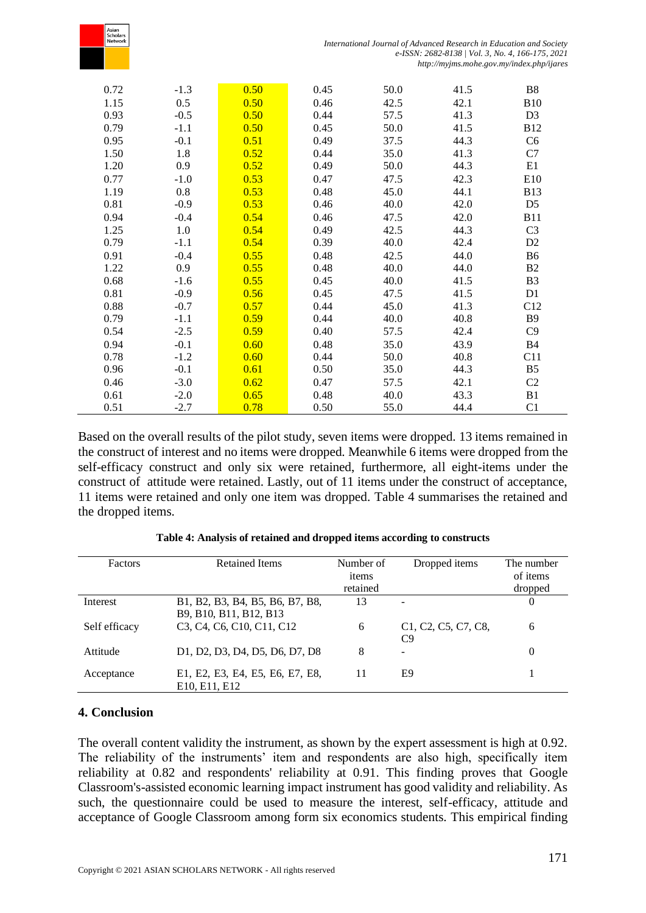| Asian<br>Scholars<br>Network |        |      |      | International Journal of Advanced Research in Education and Society |      |                                                                                               |
|------------------------------|--------|------|------|---------------------------------------------------------------------|------|-----------------------------------------------------------------------------------------------|
|                              |        |      |      |                                                                     |      | e-ISSN: 2682-8138   Vol. 3, No. 4, 166-175, 2021<br>http://myjms.mohe.gov.my/index.php/ijares |
| 0.72                         | $-1.3$ | 0.50 | 0.45 | 50.0                                                                | 41.5 | B <sub>8</sub>                                                                                |
| 1.15                         | 0.5    | 0.50 | 0.46 | 42.5                                                                | 42.1 | <b>B10</b>                                                                                    |
| 0.93                         | $-0.5$ | 0.50 | 0.44 | 57.5                                                                | 41.3 | D <sub>3</sub>                                                                                |
| 0.79                         | $-1.1$ | 0.50 | 0.45 | 50.0                                                                | 41.5 | <b>B12</b>                                                                                    |
| 0.95                         | $-0.1$ | 0.51 | 0.49 | 37.5                                                                | 44.3 | C <sub>6</sub>                                                                                |
| 1.50                         | 1.8    | 0.52 | 0.44 | 35.0                                                                | 41.3 | C7                                                                                            |
| 1.20                         | 0.9    | 0.52 | 0.49 | 50.0                                                                | 44.3 | E1                                                                                            |
| 0.77                         | $-1.0$ | 0.53 | 0.47 | 47.5                                                                | 42.3 | E10                                                                                           |
| 1.19                         | 0.8    | 0.53 | 0.48 | 45.0                                                                | 44.1 | <b>B13</b>                                                                                    |
| 0.81                         | $-0.9$ | 0.53 | 0.46 | 40.0                                                                | 42.0 | D <sub>5</sub>                                                                                |
| 0.94                         | $-0.4$ | 0.54 | 0.46 | 47.5                                                                | 42.0 | <b>B11</b>                                                                                    |
| 1.25                         | 1.0    | 0.54 | 0.49 | 42.5                                                                | 44.3 | C <sub>3</sub>                                                                                |
| 0.79                         | $-1.1$ | 0.54 | 0.39 | 40.0                                                                | 42.4 | D <sub>2</sub>                                                                                |
| 0.91                         | $-0.4$ | 0.55 | 0.48 | 42.5                                                                | 44.0 | B <sub>6</sub>                                                                                |
| 1.22                         | 0.9    | 0.55 | 0.48 | 40.0                                                                | 44.0 | B <sub>2</sub>                                                                                |
| 0.68                         | $-1.6$ | 0.55 | 0.45 | 40.0                                                                | 41.5 | B <sub>3</sub>                                                                                |
| 0.81                         | $-0.9$ | 0.56 | 0.45 | 47.5                                                                | 41.5 | D1                                                                                            |
| 0.88                         | $-0.7$ | 0.57 | 0.44 | 45.0                                                                | 41.3 | C12                                                                                           |
| 0.79                         | $-1.1$ | 0.59 | 0.44 | 40.0                                                                | 40.8 | <b>B9</b>                                                                                     |
| 0.54                         | $-2.5$ | 0.59 | 0.40 | 57.5                                                                | 42.4 | C9                                                                                            |
| 0.94                         | $-0.1$ | 0.60 | 0.48 | 35.0                                                                | 43.9 | <b>B4</b>                                                                                     |
| 0.78                         | $-1.2$ | 0.60 | 0.44 | 50.0                                                                | 40.8 | C11                                                                                           |
| 0.96                         | $-0.1$ | 0.61 | 0.50 | 35.0                                                                | 44.3 | B <sub>5</sub>                                                                                |
| 0.46                         | $-3.0$ | 0.62 | 0.47 | 57.5                                                                | 42.1 | C <sub>2</sub>                                                                                |
| 0.61                         | $-2.0$ | 0.65 | 0.48 | 40.0                                                                | 43.3 | B1                                                                                            |
| 0.51                         | $-2.7$ | 0.78 | 0.50 | 55.0                                                                | 44.4 | C <sub>1</sub>                                                                                |

Based on the overall results of the pilot study, seven items were dropped. 13 items remained in the construct of interest and no items were dropped. Meanwhile 6 items were dropped from the self-efficacy construct and only six were retained, furthermore, all eight-items under the construct of attitude were retained. Lastly, out of 11 items under the construct of acceptance, 11 items were retained and only one item was dropped. Table 4 summarises the retained and the dropped items.

| Factors       | <b>Retained Items</b>                                                                                  | Number of<br>items | Dropped items                                                                        | The number<br>of items |
|---------------|--------------------------------------------------------------------------------------------------------|--------------------|--------------------------------------------------------------------------------------|------------------------|
|               |                                                                                                        | retained           |                                                                                      | dropped                |
| Interest      | B1, B2, B3, B4, B5, B6, B7, B8,                                                                        | 13                 | -                                                                                    | 0                      |
|               | B9, B10, B11, B12, B13                                                                                 |                    |                                                                                      |                        |
| Self efficacy | C <sub>3</sub> , C <sub>4</sub> , C <sub>6</sub> , C <sub>10</sub> , C <sub>11</sub> , C <sub>12</sub> | 6                  | C <sub>1</sub> , C <sub>2</sub> , C <sub>5</sub> , C <sub>7</sub> , C <sub>8</sub> , | 6                      |
|               |                                                                                                        |                    | C9                                                                                   |                        |
| Attitude      | D1, D2, D3, D4, D5, D6, D7, D8                                                                         | 8                  | $\overline{\phantom{0}}$                                                             | 0                      |
|               |                                                                                                        |                    |                                                                                      |                        |
| Acceptance    | E1, E2, E3, E4, E5, E6, E7, E8,<br>E <sub>10</sub> , E <sub>11</sub> , E <sub>12</sub>                 | 11                 | E9                                                                                   |                        |

### **4. Conclusion**

The overall content validity the instrument, as shown by the expert assessment is high at 0.92. The reliability of the instruments' item and respondents are also high, specifically item reliability at 0.82 and respondents' reliability at 0.91. This finding proves that Google Classroom's-assisted economic learning impact instrument has good validity and reliability. As such, the questionnaire could be used to measure the interest, self-efficacy, attitude and acceptance of Google Classroom among form six economics students. This empirical finding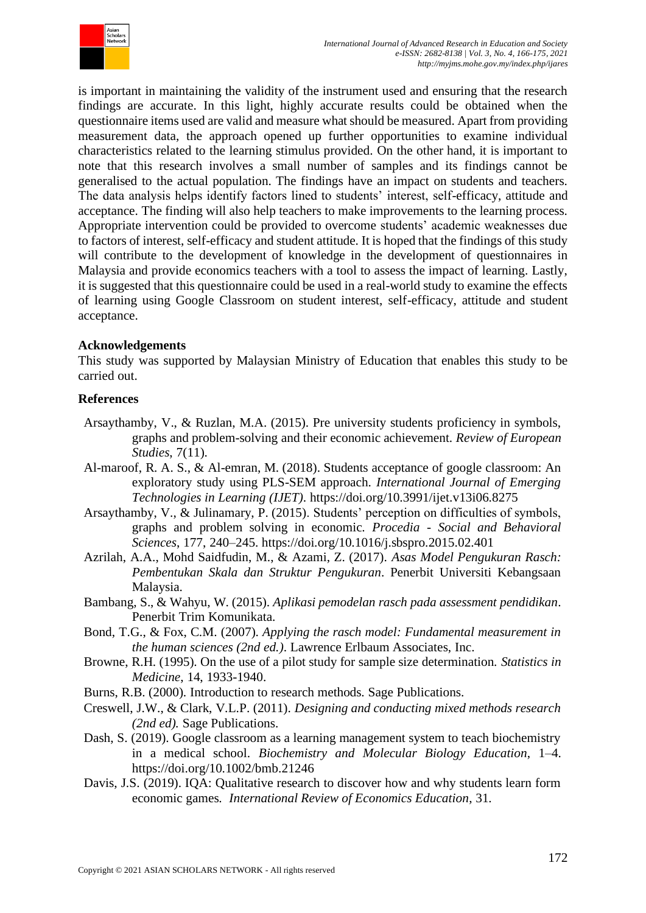

is important in maintaining the validity of the instrument used and ensuring that the research findings are accurate. In this light, highly accurate results could be obtained when the questionnaire items used are valid and measure what should be measured. Apart from providing measurement data, the approach opened up further opportunities to examine individual characteristics related to the learning stimulus provided. On the other hand, it is important to note that this research involves a small number of samples and its findings cannot be generalised to the actual population. The findings have an impact on students and teachers. The data analysis helps identify factors lined to students' interest, self-efficacy, attitude and acceptance. The finding will also help teachers to make improvements to the learning process. Appropriate intervention could be provided to overcome students' academic weaknesses due to factors of interest, self-efficacy and student attitude. It is hoped that the findings of this study will contribute to the development of knowledge in the development of questionnaires in Malaysia and provide economics teachers with a tool to assess the impact of learning. Lastly, it is suggested that this questionnaire could be used in a real-world study to examine the effects of learning using Google Classroom on student interest, self-efficacy, attitude and student acceptance.

## **Acknowledgements**

This study was supported by Malaysian Ministry of Education that enables this study to be carried out.

### **References**

- Arsaythamby, V., & Ruzlan, M.A. (2015). Pre university students proficiency in symbols, graphs and problem-solving and their economic achievement*. Review of European Studies*, 7(11).
- Al-maroof, R. A. S., & Al-emran, M. (2018). Students acceptance of google classroom: An exploratory study using PLS-SEM approach. *International Journal of Emerging Technologies in Learning (IJET)*. https://doi.org/10.3991/ijet.v13i06.8275
- Arsaythamby, V., & Julinamary, P. (2015). Students' perception on difficulties of symbols, graphs and problem solving in economic. *Procedia - Social and Behavioral Sciences*, 177, 240–245. https://doi.org/10.1016/j.sbspro.2015.02.401
- Azrilah, A.A., Mohd Saidfudin, M., & Azami, Z. (2017). *Asas Model Pengukuran Rasch: Pembentukan Skala dan Struktur Pengukuran*. Penerbit Universiti Kebangsaan Malaysia.
- Bambang, S., & Wahyu, W. (2015). *Aplikasi pemodelan rasch pada assessment pendidikan*. Penerbit Trim Komunikata.
- Bond, T.G., & Fox, C.M. (2007). *Applying the rasch model: Fundamental measurement in the human sciences (2nd ed.)*. Lawrence Erlbaum Associates, Inc.
- Browne, R.H. (1995). On the use of a pilot study for sample size determination. *Statistics in Medicine*, 14, 1933-1940.
- Burns, R.B. (2000). Introduction to research methods. Sage Publications.
- Creswell, J.W., & Clark, V.L.P. (2011). *Designing and conducting mixed methods research (2nd ed).* Sage Publications.
- Dash, S. (2019). Google classroom as a learning management system to teach biochemistry in a medical school. *Biochemistry and Molecular Biology Education*, 1–4. https://doi.org/10.1002/bmb.21246
- Davis, J.S. (2019). IQA: Qualitative research to discover how and why students learn form economic games*. International Review of Economics Education*, 31.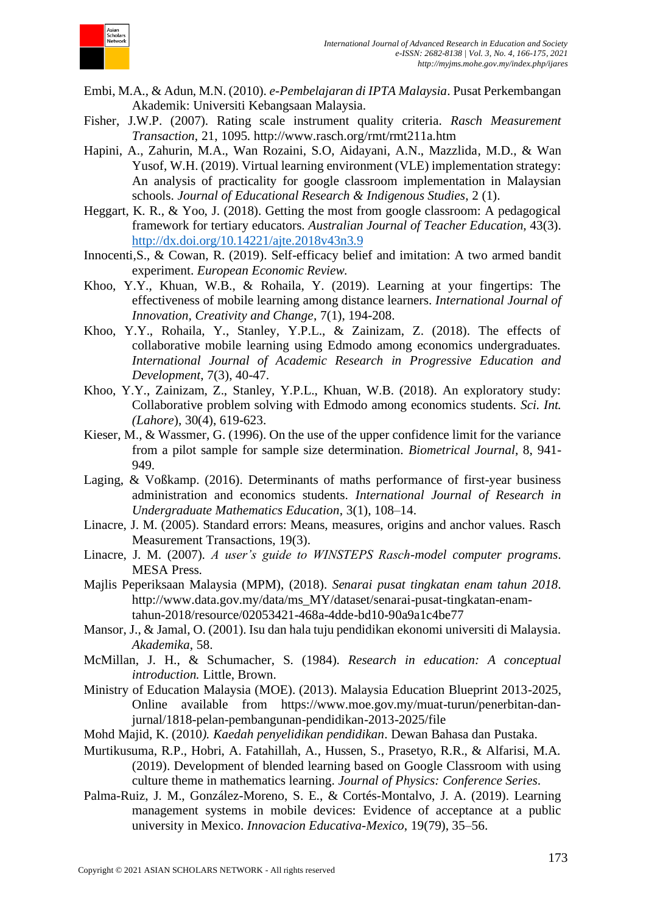

- Embi, M.A., & Adun, M.N. (2010). *e-Pembelajaran di IPTA Malaysia*. Pusat Perkembangan Akademik: Universiti Kebangsaan Malaysia.
- Fisher, J.W.P. (2007). Rating scale instrument quality criteria. *Rasch Measurement Transaction*, 21, 1095. http://www.rasch.org/rmt/rmt211a.htm
- Hapini, A., Zahurin, M.A., Wan Rozaini, S.O, Aidayani, A.N., Mazzlida, M.D., & Wan Yusof, W.H. (2019). Virtual learning environment (VLE) implementation strategy: An analysis of practicality for google classroom implementation in Malaysian schools. *Journal of Educational Research & Indigenous Studies*, 2 (1).
- Heggart, K. R., & Yoo, J. (2018). Getting the most from google classroom: A pedagogical framework for tertiary educators. *Australian Journal of Teacher Education*, 43(3). <http://dx.doi.org/10.14221/ajte.2018v43n3.9>
- Innocenti,S., & Cowan, R. (2019). Self-efficacy belief and imitation: A two armed bandit experiment. *European Economic Review.*
- Khoo, Y.Y., Khuan, W.B., & Rohaila, Y. (2019). Learning at your fingertips: The effectiveness of mobile learning among distance learners. *International Journal of Innovation, Creativity and Change*, 7(1), 194-208.
- Khoo, Y.Y., Rohaila, Y., Stanley, Y.P.L., & Zainizam, Z. (2018). The effects of collaborative mobile learning using Edmodo among economics undergraduates. *International Journal of Academic Research in Progressive Education and Development*, 7(3), 40-47.
- Khoo, Y.Y., Zainizam, Z., Stanley, Y.P.L., Khuan, W.B. (2018). An exploratory study: Collaborative problem solving with Edmodo among economics students. *Sci. Int. (Lahore*), 30(4), 619-623.
- Kieser, M., & Wassmer, G. (1996). On the use of the upper confidence limit for the variance from a pilot sample for sample size determination. *Biometrical Journal*, 8, 941- 949.
- Laging, & Voßkamp. (2016). Determinants of maths performance of first-year business administration and economics students. *International Journal of Research in Undergraduate Mathematics Education*, 3(1), 108–14.
- Linacre, J. M. (2005). Standard errors: Means, measures, origins and anchor values. Rasch Measurement Transactions, 19(3).
- Linacre, J. M. (2007). *A user's guide to WINSTEPS Rasch-model computer programs*. MESA Press.
- Majlis Peperiksaan Malaysia (MPM), (2018). *Senarai pusat tingkatan enam tahun 2018*. http://www.data.gov.my/data/ms\_MY/dataset/senarai-pusat-tingkatan-enamtahun-2018/resource/02053421-468a-4dde-bd10-90a9a1c4be77
- Mansor, J., & Jamal, O. (2001). Isu dan hala tuju pendidikan ekonomi universiti di Malaysia. *Akademika*, 58.
- McMillan, J. H., & Schumacher, S. (1984). *Research in education: A conceptual introduction.* Little, Brown.
- Ministry of Education Malaysia (MOE). (2013). Malaysia Education Blueprint 2013-2025, Online available from https://www.moe.gov.my/muat-turun/penerbitan-danjurnal/1818-pelan-pembangunan-pendidikan-2013-2025/file
- Mohd Majid, K. (2010*). Kaedah penyelidikan pendidikan*. Dewan Bahasa dan Pustaka.
- Murtikusuma, R.P., Hobri, A. Fatahillah, A., Hussen, S., Prasetyo, R.R., & Alfarisi, M.A. (2019). Development of blended learning based on Google Classroom with using culture theme in mathematics learning. *Journal of Physics: Conference Series*.
- Palma-Ruiz, J. M., González-Moreno, S. E., & Cortés-Montalvo, J. A. (2019). Learning management systems in mobile devices: Evidence of acceptance at a public university in Mexico. *Innovacion Educativa-Mexico*, 19(79), 35–56.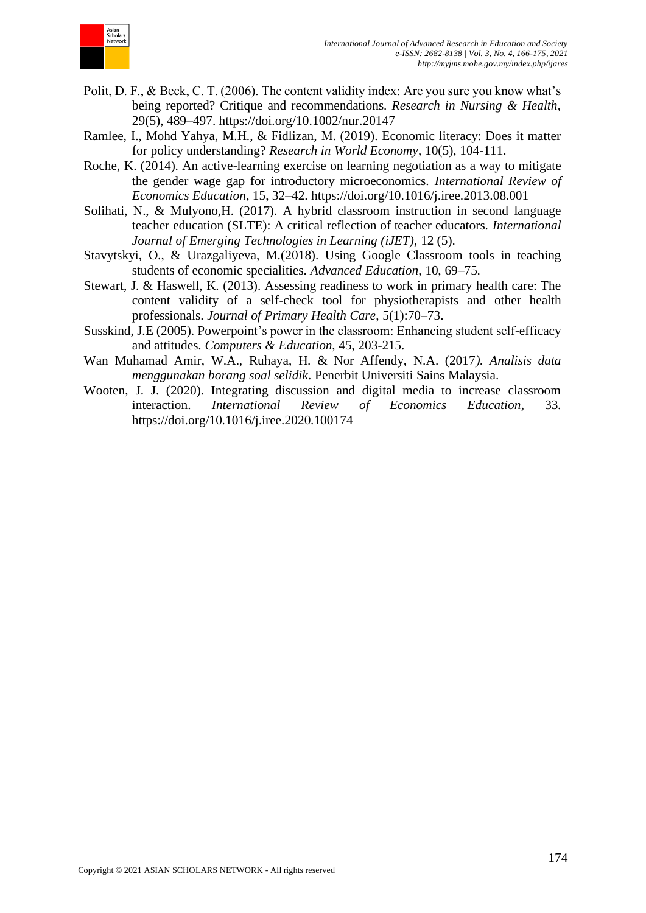

- Polit, D. F., & Beck, C. T. (2006). The content validity index: Are you sure you know what's being reported? Critique and recommendations*. Research in Nursing & Health*, 29(5), 489–497. https://doi.org/10.1002/nur.20147
- Ramlee, I., Mohd Yahya, M.H., & Fidlizan, M. (2019). Economic literacy: Does it matter for policy understanding? *Research in World Economy*, 10(5), 104-111.
- Roche, K. (2014). An active-learning exercise on learning negotiation as a way to mitigate the gender wage gap for introductory microeconomics. *International Review of Economics Education*, 15, 32–42. https://doi.org/10.1016/j.iree.2013.08.001
- Solihati, N., & Mulyono,H. (2017). A hybrid classroom instruction in second language teacher education (SLTE): A critical reflection of teacher educators. *International Journal of Emerging Technologies in Learning (iJET)*, 12 (5).
- Stavytskyi, O., & Urazgaliyeva, M.(2018). Using Google Classroom tools in teaching students of economic specialities. *Advanced Education*, 10, 69–75.
- Stewart, J. & Haswell, K. (2013). Assessing readiness to work in primary health care: The content validity of a self-check tool for physiotherapists and other health professionals. *Journal of Primary Health Care*, 5(1):70–73.
- Susskind, J.E (2005). Powerpoint's power in the classroom: Enhancing student self-efficacy and attitudes. *Computers & Education*, 45, 203-215.
- Wan Muhamad Amir, W.A., Ruhaya, H. & Nor Affendy, N.A. (2017*). Analisis data menggunakan borang soal selidik*. Penerbit Universiti Sains Malaysia.
- Wooten, J. J. (2020). Integrating discussion and digital media to increase classroom interaction. *International Review of Economics Education*, 33. https://doi.org/10.1016/j.iree.2020.100174